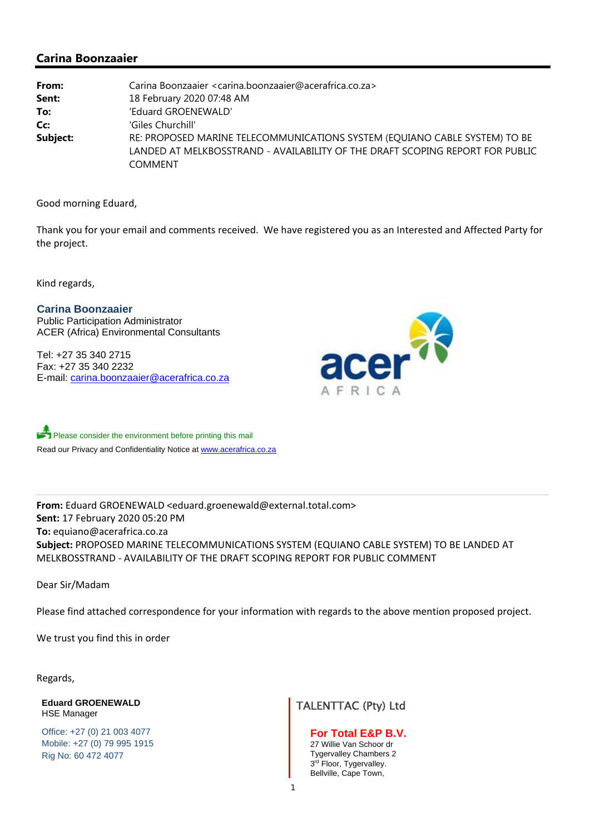## **Carina Boonzaaier**

| From:    | Carina Boonzaaier <carina.boonzaaier@acerafrica.co.za></carina.boonzaaier@acerafrica.co.za> |
|----------|---------------------------------------------------------------------------------------------|
| Sent:    | 18 February 2020 07:48 AM                                                                   |
| To:      | 'Eduard GROENEWALD'                                                                         |
| Cc:      | 'Giles Churchill'                                                                           |
| Subject: | RE: PROPOSED MARINE TELECOMMUNICATIONS SYSTEM (EQUIANO CABLE SYSTEM) TO BE                  |
|          | LANDED AT MELKBOSSTRAND - AVAILABILITY OF THE DRAFT SCOPING REPORT FOR PUBLIC               |
|          | <b>COMMENT</b>                                                                              |

Good morning Eduard,

Thank you for your email and comments received. We have registered you as an Interested and Affected Party for the project.

Kind regards,

**Carina Boonzaaier**  Public Participation Administrator ACER (Africa) Environmental Consultants

Tel: +27 35 340 2715 Fax: +27 35 340 2232 E-mail: carina.boonzaaier@acerafrica.co.za



Please consider the environment before printing this mail Read our Privacy and Confidentiality Notice at www.acerafrica.co.za

**From:** Eduard GROENEWALD <eduard.groenewald@external.total.com> **Sent:** 17 February 2020 05:20 PM **To:** equiano@acerafrica.co.za **Subject:** PROPOSED MARINE TELECOMMUNICATIONS SYSTEM (EQUIANO CABLE SYSTEM) TO BE LANDED AT MELKBOSSTRAND ‐ AVAILABILITY OF THE DRAFT SCOPING REPORT FOR PUBLIC COMMENT

Dear Sir/Madam

Please find attached correspondence for your information with regards to the above mention proposed project.

We trust you find this in order

Regards,

**Eduard GROENEWALD**  Eduard GROENEWALD<br>HSE Manager Manager TALENTTAC (Pty) Ltd

Office: +27 (0) 21 003 4077 Mobile: +27 (0) 79 995 1915 Rig No: 60 472 4077

**For Total E&P B.V.** 27 Willie Van Schoor dr Tygervalley Chambers 2  $3<sup>rd</sup>$  Floor, Tygervalley. Bellville, Cape Town,